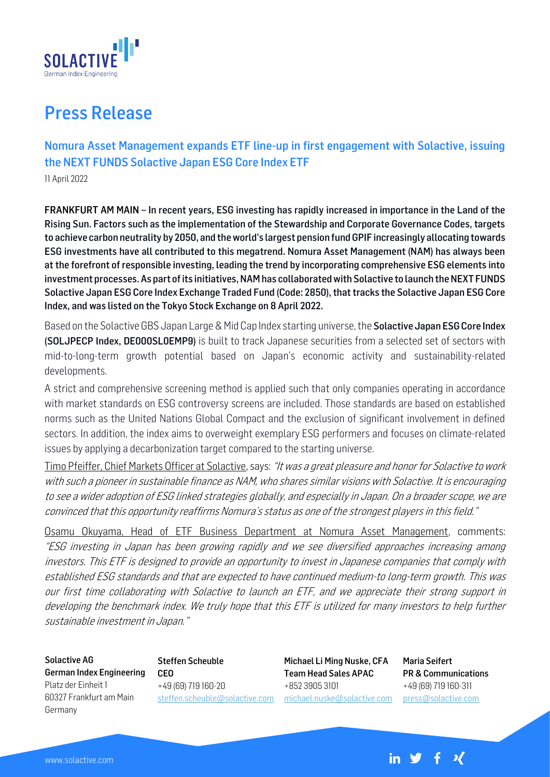

## Press Release

Nomura Asset Management expands ETF line-up in first engagement with Solactive, issuing the NEXT FUNDS Solactive Japan ESG Core Index ETF

11 April 2022

FRANKFURT AM MAIN – In recent years, ESG investing has rapidly increased in importance in the Land of the Rising Sun. Factors such as the implementation of the Stewardship and Corporate Governance Codes, targets to achieve carbon neutrality by 2050, and the world's largest pension fund GPIF increasingly allocating towards ESG investments have all contributed to this megatrend. Nomura Asset Management (NAM) has always been at the forefront of responsible investing, leading the trend by incorporating comprehensive ESG elements into investment processes. As part of its initiatives, NAM has collaborated with Solactive to launch the NEXT FUNDS Solactive Japan ESG Core Index Exchange Traded Fund (Code: 2850), that tracks the Solactive Japan ESG Core Index, and was listed on the Tokyo Stock Exchange on 8 April 2022.

Based on the Solactive GBS Japan Large & Mid Cap Index starting universe, the **Solactive Japan ESG Core Index** (SOLJPECP Index, DE000SL0EMP9) is built to track Japanese securities from a selected set of sectors with mid-to-long-term growth potential based on Japan's economic activity and sustainability-related developments.

A strict and comprehensive screening method is applied such that only companies operating in accordance with market standards on ESG controversy screens are included. Those standards are based on established norms such as the United Nations Global Compact and the exclusion of significant involvement in defined sectors. In addition, the index aims to overweight exemplary ESG performers and focuses on climate-related issues by applying a decarbonization target compared to the starting universe.

Timo Pfeiffer, Chief Markets Officer at Solactive, says: "It was a great pleasure and honor for Solactive to work with such a pioneer in sustainable finance as NAM, who shares similar visions with Solactive. It is encouraging to see a wider adoption of ESG linked strategies globally, and especially in Japan. On a broader scope, we are convinced that this opportunity reaffirms Nomura's status as one of the strongest players in this field."

Osamu Okuyama, Head of ETF Business Department at Nomura Asset Management, comments: "ESG investing in Japan has been growing rapidly and we see diversified approaches increasing among investors. This ETF is designed to provide an opportunity to invest in Japanese companies that comply with established ESG standards and that are expected to have continued medium-to long-term growth. This was our first time collaborating with Solactive to launch an ETF, and we appreciate their strong support in developing the benchmark index. We truly hope that this ETF is utilized for many investors to help further sustainable investment in Japan."

Solactive AG German Index Engineering Platz der Einheit 1 60327 Frankfurt am Main Germany

Steffen Scheuble CEO +49 (69) 719 160-20 [steffen.scheuble@solactive.com](mailto:steffen.scheuble@solactive.com)

Michael Li Ming Nuske, CFA Team Head Sales APAC +852 3905 3101 [michael.nuske@solactive.com](mailto:michael.nuske@solactive.com) Maria Seifert PR & Communications +49 (69) 719 160-311 press@solactive.com

 $+$   $\mathcal{U}$ 

in  $\mathbf{y}$